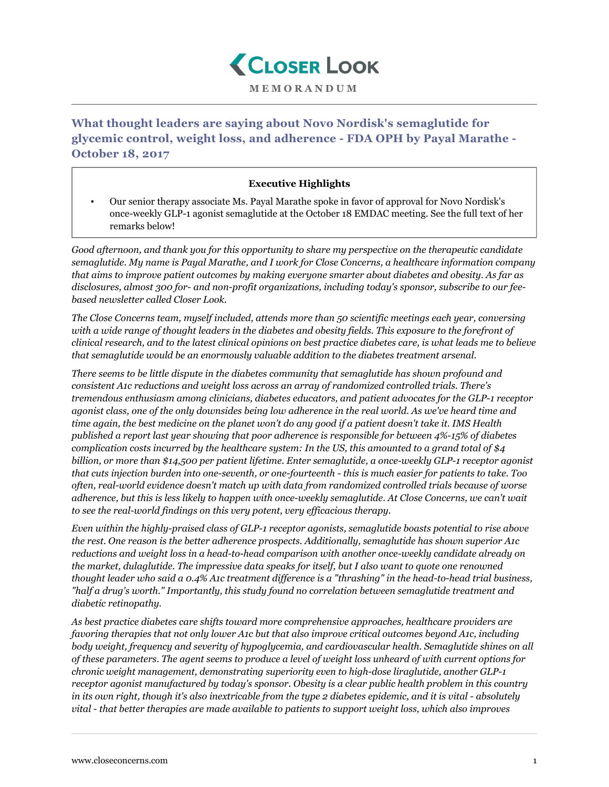

**What thought leaders are saying about Novo Nordisk's semaglutide for glycemic control, weight loss, and adherence - FDA OPH by Payal Marathe - October 18, 2017**

## **Executive Highlights**

▪ Our senior therapy associate Ms. Payal Marathe spoke in favor of approval for Novo Nordisk's once-weekly GLP-1 agonist semaglutide at the October 18 EMDAC meeting. See the full text of her remarks below!

*Good afternoon, and thank you for this opportunity to share my perspective on the therapeutic candidate semaglutide. My name is Payal Marathe, and I work for Close Concerns, a healthcare information company that aims to improve patient outcomes by making everyone smarter about diabetes and obesity. As far as disclosures, almost 300 for- and non-profit organizations, including today's sponsor, subscribe to our feebased newsletter called Closer Look.*

*The Close Concerns team, myself included, attends more than 50 scientific meetings each year, conversing with a wide range of thought leaders in the diabetes and obesity fields. This exposure to the forefront of clinical research, and to the latest clinical opinions on best practice diabetes care, is what leads me to believe that semaglutide would be an enormously valuable addition to the diabetes treatment arsenal.*

*There seems to be little dispute in the diabetes community that semaglutide has shown profound and consistent A1c reductions and weight loss across an array of randomized controlled trials. There's tremendous enthusiasm among clinicians, diabetes educators, and patient advocates for the GLP-1 receptor agonist class, one of the only downsides being low adherence in the real world. As we've heard time and time again, the best medicine on the planet won't do any good if a patient doesn't take it. IMS Health published a report last year showing that poor adherence is responsible for between 4%-15% of diabetes complication costs incurred by the healthcare system: In the US, this amounted to a grand total of \$4 billion, or more than \$14,500 per patient lifetime. Enter semaglutide, a once-weekly GLP-1 receptor agonist that cuts injection burden into one-seventh, or one-fourteenth - this is much easier for patients to take. Too often, real-world evidence doesn't match up with data from randomized controlled trials because of worse adherence, but this is less likely to happen with once-weekly semaglutide. At Close Concerns, we can't wait to see the real-world findings on this very potent, very efficacious therapy.*

*Even within the highly-praised class of GLP-1 receptor agonists, semaglutide boasts potential to rise above the rest. One reason is the better adherence prospects. Additionally, semaglutide has shown superior A1c reductions and weight loss in a head-to-head comparison with another once-weekly candidate already on the market, dulaglutide. The impressive data speaks for itself, but I also want to quote one renowned thought leader who said a 0.4% A1c treatment difference is a "thrashing" in the head-to-head trial business, "half a drug's worth." Importantly, this study found no correlation between semaglutide treatment and diabetic retinopathy.*

*As best practice diabetes care shifts toward more comprehensive approaches, healthcare providers are favoring therapies that not only lower A1c but that also improve critical outcomes beyond A1c, including body weight, frequency and severity of hypoglycemia, and cardiovascular health. Semaglutide shines on all of these parameters. The agent seems to produce a level of weight loss unheard of with current options for chronic weight management, demonstrating superiority even to high-dose liraglutide, another GLP-1 receptor agonist manufactured by today's sponsor. Obesity is a clear public health problem in this country in its own right, though it's also inextricable from the type 2 diabetes epidemic, and it is vital - absolutely vital - that better therapies are made available to patients to support weight loss, which also improves*